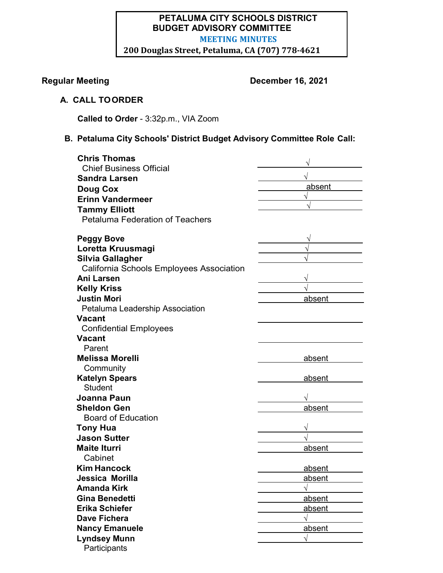# **PETALUMA CITY SCHOOLS DISTRICT BUDGET ADVISORY COMMITTEE MEETING MINUTES**

**200 Douglas Street, Petaluma, CA (707) 778-4621**

# **Regular Meeting Contract Contract Contract December 16, 2021**

# **A. CALL TOORDER**

**Called to Order** - 3:32p.m., VIA Zoom

# **B. Petaluma City Schools' District Budget Advisory Committee Role Call:**

| <b>Chris Thomas</b>                      |        |
|------------------------------------------|--------|
| <b>Chief Business Official</b>           |        |
| <b>Sandra Larsen</b>                     |        |
| <b>Doug Cox</b>                          | absent |
| <b>Erinn Vandermeer</b>                  |        |
| <b>Tammy Elliott</b>                     |        |
| <b>Petaluma Federation of Teachers</b>   |        |
|                                          |        |
| <b>Peggy Bove</b>                        |        |
| Loretta Kruusmagi                        |        |
| <b>Silvia Gallagher</b>                  |        |
| California Schools Employees Association |        |
| Ani Larsen                               |        |
| <b>Kelly Kriss</b>                       |        |
| <b>Justin Mori</b>                       | absent |
| Petaluma Leadership Association          |        |
| <b>Vacant</b>                            |        |
| <b>Confidential Employees</b>            |        |
| <b>Vacant</b>                            |        |
| Parent                                   |        |
| <b>Melissa Morelli</b>                   | absent |
| Community                                |        |
| <b>Katelyn Spears</b>                    | absent |
| <b>Student</b>                           |        |
| Joanna Paun                              |        |
| <b>Sheldon Gen</b>                       | absent |
| <b>Board of Education</b>                |        |
| <b>Tony Hua</b>                          |        |
| <b>Jason Sutter</b>                      |        |
| <b>Maite Iturri</b>                      | absent |
| Cabinet                                  |        |
| <b>Kim Hancock</b>                       | absent |
| Jessica Morilla                          | absent |
| <b>Amanda Kirk</b>                       |        |
| <b>Gina Benedetti</b>                    | absent |
| <b>Erika Schiefer</b>                    | absent |
| <b>Dave Fichera</b>                      |        |
| <b>Nancy Emanuele</b>                    | absent |
| <b>Lyndsey Munn</b>                      | V      |
| Participants                             |        |